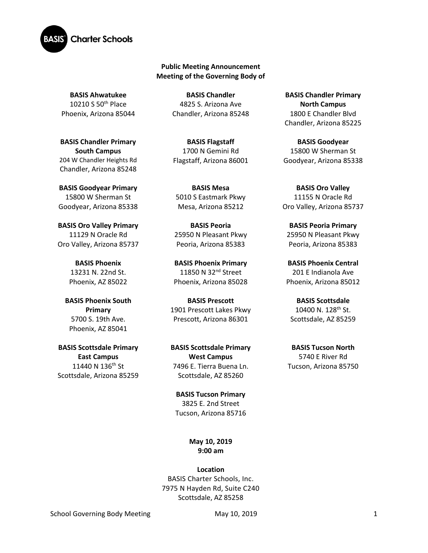

## **Public Meeting Announcement Meeting of the Governing Body of**

**BASIS Ahwatukee** 10210 S 50th Place Phoenix, Arizona 85044

**BASIS Chandler Primary South Campus**  204 W Chandler Heights Rd Chandler, Arizona 85248

**BASIS Goodyear Primary** 15800 W Sherman St Goodyear, Arizona 85338

**BASIS Oro Valley Primary**  11129 N Oracle Rd Oro Valley, Arizona 85737

> **BASIS Phoenix** 13231 N. 22nd St. Phoenix, AZ 85022

**BASIS Phoenix South Primary** 5700 S. 19th Ave. Phoenix, AZ 85041

**BASIS Scottsdale Primary East Campus** 11440 N 136<sup>th</sup> St Scottsdale, Arizona 85259

**BASIS Chandler** 4825 S. Arizona Ave Chandler, Arizona 85248

**BASIS Flagstaff** 1700 N Gemini Rd Flagstaff, Arizona 86001

**BASIS Mesa**  5010 S Eastmark Pkwy Mesa, Arizona 85212

**BASIS Peoria** 25950 N Pleasant Pkwy Peoria, Arizona 85383

**BASIS Phoenix Primary** 11850 N 32<sup>nd</sup> Street Phoenix, Arizona 85028

**BASIS Prescott** 1901 Prescott Lakes Pkwy Prescott, Arizona 86301

**BASIS Scottsdale Primary West Campus** 7496 E. Tierra Buena Ln. Scottsdale, AZ 85260

**BASIS Tucson Primary** 3825 E. 2nd Street Tucson, Arizona 85716

> **May 10, 2019 9:00 am**

**Location** BASIS Charter Schools, Inc. 7975 N Hayden Rd, Suite C240 Scottsdale, AZ 85258

**BASIS Chandler Primary North Campus** 1800 E Chandler Blvd Chandler, Arizona 85225

**BASIS Goodyear** 15800 W Sherman St Goodyear, Arizona 85338

**BASIS Oro Valley** 11155 N Oracle Rd Oro Valley, Arizona 85737

**BASIS Peoria Primary**  25950 N Pleasant Pkwy Peoria, Arizona 85383

**BASIS Phoenix Central** 201 E Indianola Ave Phoenix, Arizona 85012

**BASIS Scottsdale** 10400 N. 128th St. Scottsdale, AZ 85259

**BASIS Tucson North** 5740 E River Rd Tucson, Arizona 85750

School Governing Body Meeting May 10, 2019 10, 2019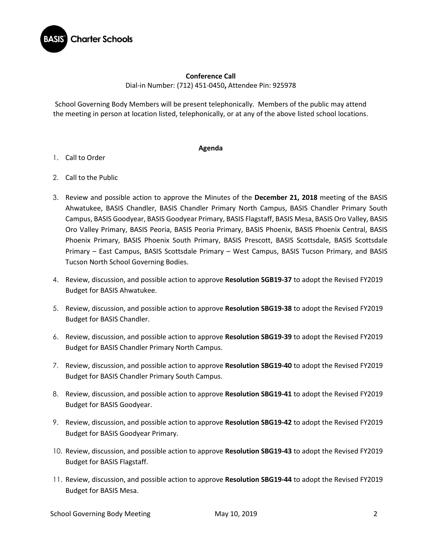

## **Conference Call** Dial-in Number: (712) 451-0450**,** Attendee Pin: 925978

School Governing Body Members will be present telephonically. Members of the public may attend the meeting in person at location listed, telephonically, or at any of the above listed school locations.

## **Agenda**

- 1. Call to Order
- 2. Call to the Public
- 3. Review and possible action to approve the Minutes of the **December 21, 2018** meeting of the BASIS Ahwatukee, BASIS Chandler, BASIS Chandler Primary North Campus, BASIS Chandler Primary South Campus, BASIS Goodyear, BASIS Goodyear Primary, BASIS Flagstaff, BASIS Mesa, BASIS Oro Valley, BASIS Oro Valley Primary, BASIS Peoria, BASIS Peoria Primary, BASIS Phoenix, BASIS Phoenix Central, BASIS Phoenix Primary, BASIS Phoenix South Primary, BASIS Prescott, BASIS Scottsdale, BASIS Scottsdale Primary – East Campus, BASIS Scottsdale Primary – West Campus, BASIS Tucson Primary, and BASIS Tucson North School Governing Bodies.
- 4. Review, discussion, and possible action to approve **Resolution SGB19-37** to adopt the Revised FY2019 Budget for BASIS Ahwatukee.
- 5. Review, discussion, and possible action to approve **Resolution SBG19-38** to adopt the Revised FY2019 Budget for BASIS Chandler.
- 6. Review, discussion, and possible action to approve **Resolution SBG19-39** to adopt the Revised FY2019 Budget for BASIS Chandler Primary North Campus.
- 7. Review, discussion, and possible action to approve **Resolution SBG19-40** to adopt the Revised FY2019 Budget for BASIS Chandler Primary South Campus.
- 8. Review, discussion, and possible action to approve **Resolution SBG19-41** to adopt the Revised FY2019 Budget for BASIS Goodyear.
- 9. Review, discussion, and possible action to approve **Resolution SBG19-42** to adopt the Revised FY2019 Budget for BASIS Goodyear Primary.
- 10. Review, discussion, and possible action to approve **Resolution SBG19-43** to adopt the Revised FY2019 Budget for BASIS Flagstaff.
- 11. Review, discussion, and possible action to approve **Resolution SBG19-44** to adopt the Revised FY2019 Budget for BASIS Mesa.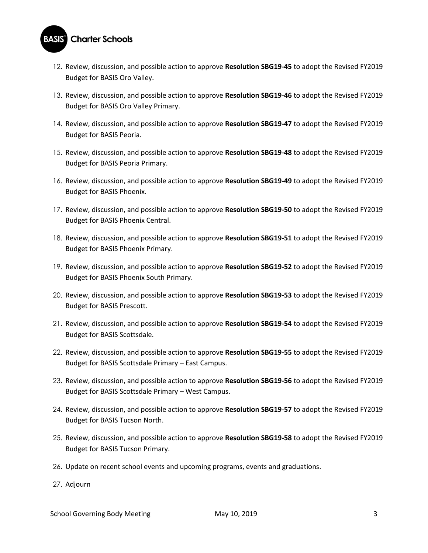

- 12. Review, discussion, and possible action to approve **Resolution SBG19-45** to adopt the Revised FY2019 Budget for BASIS Oro Valley.
- 13. Review, discussion, and possible action to approve **Resolution SBG19-46** to adopt the Revised FY2019 Budget for BASIS Oro Valley Primary.
- 14. Review, discussion, and possible action to approve **Resolution SBG19-47** to adopt the Revised FY2019 Budget for BASIS Peoria.
- 15. Review, discussion, and possible action to approve **Resolution SBG19-48** to adopt the Revised FY2019 Budget for BASIS Peoria Primary.
- 16. Review, discussion, and possible action to approve **Resolution SBG19-49** to adopt the Revised FY2019 Budget for BASIS Phoenix.
- 17. Review, discussion, and possible action to approve **Resolution SBG19-50** to adopt the Revised FY2019 Budget for BASIS Phoenix Central.
- 18. Review, discussion, and possible action to approve **Resolution SBG19-51** to adopt the Revised FY2019 Budget for BASIS Phoenix Primary.
- 19. Review, discussion, and possible action to approve **Resolution SBG19-52** to adopt the Revised FY2019 Budget for BASIS Phoenix South Primary.
- 20. Review, discussion, and possible action to approve **Resolution SBG19-53** to adopt the Revised FY2019 Budget for BASIS Prescott.
- 21. Review, discussion, and possible action to approve **Resolution SBG19-54** to adopt the Revised FY2019 Budget for BASIS Scottsdale.
- 22. Review, discussion, and possible action to approve **Resolution SBG19-55** to adopt the Revised FY2019 Budget for BASIS Scottsdale Primary – East Campus.
- 23. Review, discussion, and possible action to approve **Resolution SBG19-56** to adopt the Revised FY2019 Budget for BASIS Scottsdale Primary – West Campus.
- 24. Review, discussion, and possible action to approve **Resolution SBG19-57** to adopt the Revised FY2019 Budget for BASIS Tucson North.
- 25. Review, discussion, and possible action to approve **Resolution SBG19-58** to adopt the Revised FY2019 Budget for BASIS Tucson Primary.
- 26. Update on recent school events and upcoming programs, events and graduations.
- 27. Adjourn